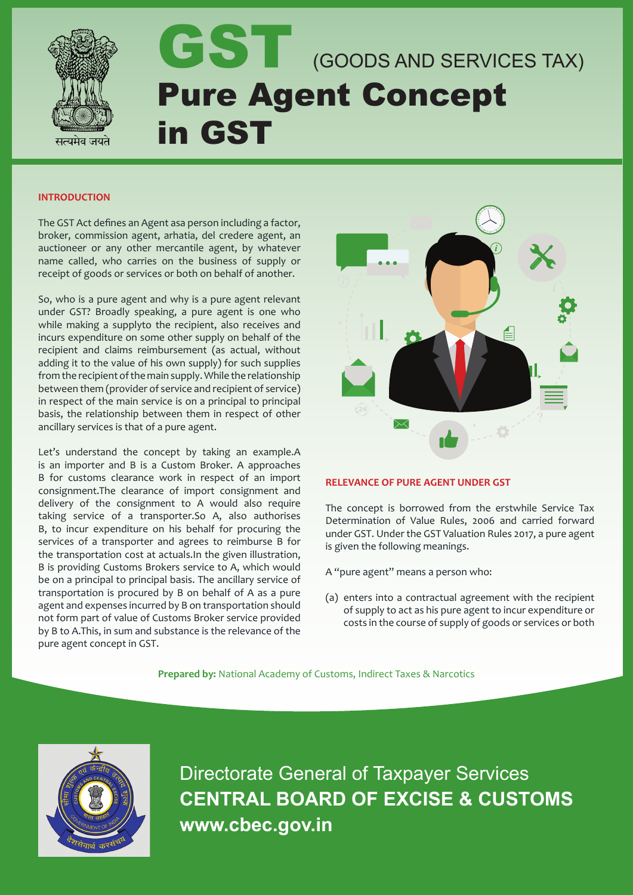

# GST (GOODS AND SERVICES TAX) Pure Agent Concept in GST

#### **INTRODUCTION**

The GST Act defines an Agent asa person including a factor, broker, commission agent, arhatia, del credere agent, an auctioneer or any other mercantile agent, by whatever name called, who carries on the business of supply or receipt of goods or services or both on behalf of another.

So, who is a pure agent and why is a pure agent relevant under GST? Broadly speaking, a pure agent is one who while making a supplyto the recipient, also receives and incurs expenditure on some other supply on behalf of the recipient and claims reimbursement (as actual, without adding it to the value of his own supply) for such supplies from the recipient of the main supply. While the relationship between them (provider of service and recipient of service) in respect of the main service is on a principal to principal basis, the relationship between them in respect of other ancillary services is that of a pure agent.

Let's understand the concept by taking an example.A is an importer and B is a Custom Broker. A approaches B for customs clearance work in respect of an import consignment.The clearance of import consignment and delivery of the consignment to A would also require taking service of a transporter.So A, also authorises B, to incur expenditure on his behalf for procuring the services of a transporter and agrees to reimburse B for the transportation cost at actuals.In the given illustration, B is providing Customs Brokers service to A, which would be on a principal to principal basis. The ancillary service of transportation is procured by B on behalf of A as a pure agent and expenses incurred by B on transportation should not form part of value of Customs Broker service provided by B to A.This, in sum and substance is the relevance of the pure agent concept in GST.



## **RELEVANCE OF PURE AGENT UNDER GST**

The concept is borrowed from the erstwhile Service Tax Determination of Value Rules, 2006 and carried forward under GST. Under the GST Valuation Rules 2017, a pure agent is given the following meanings.

A "pure agent" means a person who:

(a) enters into a contractual agreement with the recipient of supply to act as his pure agent to incur expenditure or costs in the course of supply of goods or services or both

**Prepared by:** National Academy of Customs, Indirect Taxes & Narcotics



Directorate General of Taxpayer Services **CENTRAL BOARD OF EXCISE & CUSTOMS www.cbec.gov.in**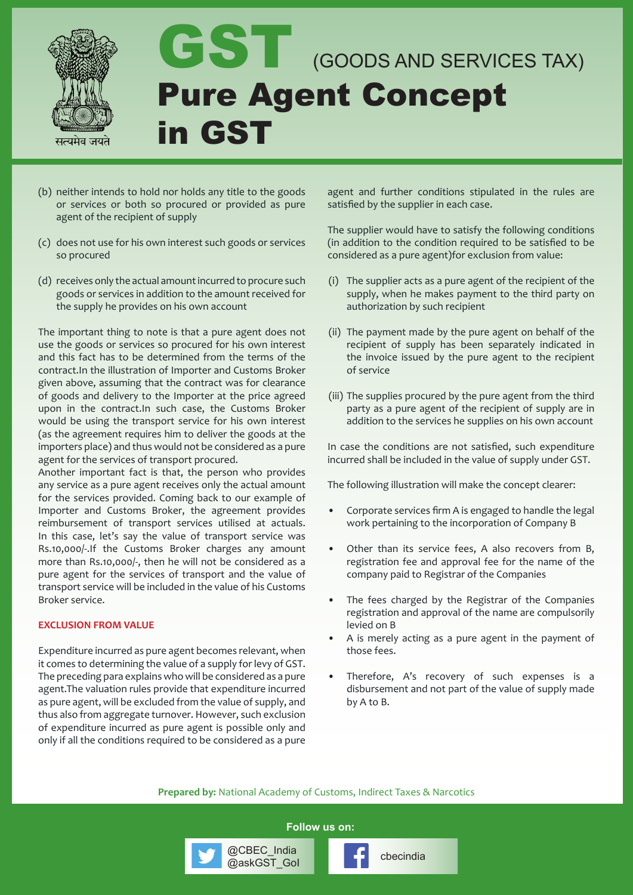

- (b) neither intends to hold nor holds any title to the goods or services or both so procured or provided as pure agent of the recipient of supply
- (c) does not use for his own interest such goods or services so procured
- (d) receives only the actual amount incurred to procure such goods or services in addition to the amount received for the supply he provides on his own account

The important thing to note is that a pure agent does not use the goods or services so procured for his own interest and this fact has to be determined from the terms of the contract.In the illustration of Importer and Customs Broker given above, assuming that the contract was for clearance of goods and delivery to the Importer at the price agreed upon in the contract.In such case, the Customs Broker would be using the transport service for his own interest (as the agreement requires him to deliver the goods at the importers place) and thus would not be considered as a pure agent for the services of transport procured.

Another important fact is that, the person who provides any service as a pure agent receives only the actual amount for the services provided. Coming back to our example of Importer and Customs Broker, the agreement provides reimbursement of transport services utilised at actuals. In this case, let's say the value of transport service was Rs.10,000/-.If the Customs Broker charges any amount more than Rs.10,000/-, then he will not be considered as a pure agent for the services of transport and the value of transport service will be included in the value of his Customs Broker service.

#### **EXCLUSION FROM VALUE**

Expenditure incurred as pure agent becomes relevant, when it comes to determining the value of a supply for levy of GST. The preceding para explains who will be considered as a pure agent.The valuation rules provide that expenditure incurred as pure agent, will be excluded from the value of supply, and thus also from aggregate turnover. However, such exclusion of expenditure incurred as pure agent is possible only and only if all the conditions required to be considered as a pure

agent and further conditions stipulated in the rules are satisfied by the supplier in each case.

The supplier would have to satisfy the following conditions (in addition to the condition required to be satisfied to be considered as a pure agent)for exclusion from value:

- (i) The supplier acts as a pure agent of the recipient of the supply, when he makes payment to the third party on authorization by such recipient
- (ii) The payment made by the pure agent on behalf of the recipient of supply has been separately indicated in the invoice issued by the pure agent to the recipient of service
- (iii) The supplies procured by the pure agent from the third party as a pure agent of the recipient of supply are in addition to the services he supplies on his own account

In case the conditions are not satisfied, such expenditure incurred shall be included in the value of supply under GST.

The following illustration will make the concept clearer:

- Corporate services firm A is engaged to handle the legal work pertaining to the incorporation of Company B
- Other than its service fees, A also recovers from B, registration fee and approval fee for the name of the company paid to Registrar of the Companies
- The fees charged by the Registrar of the Companies registration and approval of the name are compulsorily levied on B
- A is merely acting as a pure agent in the payment of those fees.
- Therefore, A's recovery of such expenses is a disbursement and not part of the value of supply made by A to B.

**Prepared by:** National Academy of Customs, Indirect Taxes & Narcotics

**Follow us on:**

@CBEC\_India<br>@askGST\_Gol **computer** cbecindia

@CBEC\_India